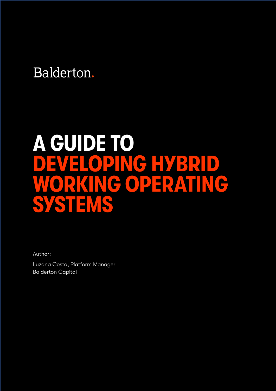## Balderton.

# **A GUIDE TO NG HYBRID<br>OPERATING WORKING OPERATING SYSTEMS**

Author:

Luzana Costa, Platform Manager Balderton Capital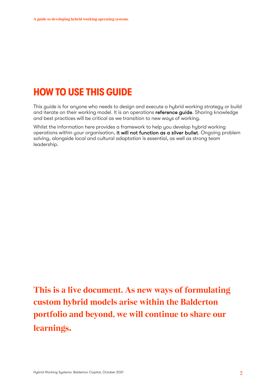### **HOW TO USE THIS GUIDE**

This guide is for anyone who needs to design and execute a hybrid working strategy or build and iterate on their working model. It is an operations reference guide. Sharing knowledge and best practices will be critical as we transition to new ways of working.

Whilst the information here provides a framework to help you develop hybrid working operations within your organisation, it will not function as a silver bullet. Ongoing problem solving, alongside local and cultural adaptation is essential, as well as strong team leadership.

**This is a live document. As new ways of formulating custom hybrid models arise within the Balderton portfolio and beyond, we will continue to share our learnings.**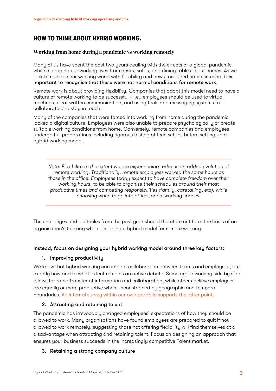#### **HOW TO THINK ABOUT HYBRID WORKING.**

#### **Working from home during a pandemic vs working remotely**

Many of us have spent the past two years dealing with the effects of a global pandemic while managing our working lives from desks, sofas, and dining tables in our homes. As we look to reshape our working world with flexibility and newly acquired habits in mind, it is important to recognise that these were not normal conditions for remote work.

Remote work is about providing flexibility. Companies that adopt this model need to have a culture of remote working to be successful - i.e., employees should be used to virtual meetings, clear written communication, and using tools and messaging systems to collaborate and stay in touch.

Many of the companies that were forced into working from home during the pandemic lacked a digital culture. Employees were also unable to prepare psychologically or create suitable working conditions from home. Conversely, remote companies and employees undergo full preparations including rigorous testing of tech setups before setting up a hybrid working model.

*Note: Flexibility to the extent we are experiencing today is an added evolution of remote working. Traditionally, remote employees worked the same hours as those in the office. Employees today expect to have complete freedom over their working hours, to be able to organise their schedules around their most productive times and competing responsibilities (family, caretaking, etc), while choosing when to go into offices or co-working spaces.*

The challenges and obstacles from the past year should therefore not form the basis of an organisation's thinking when designing a hybrid model for remote working.

#### Instead, focus on designing your hybrid working model around three key factors:

#### 1. Improving productivity

We know that hybrid working can impact collaboration between teams and employees, but exactly how and to what extent remains an active debate. Some argue working side by side allows for rapid transfer of information and collaboration, while others believe employees are equally or more productive when unconstrained by geographic and temporal boundaries. An internal survey within our own portfolio supports the latter point.

#### 2. Attracting and retaining talent

The pandemic has irrevocably changed employees' expectations of how they should be allowed to work. Many organisations have found employees are prepared to quit if not allowed to work remotely, suggesting those not offering flexibility will find themselves at a disadvantage when attracting and retaining talent. Focus on designing an approach that ensures your business succeeds in the increasingly competitive Talent market.

#### 3. Retaining a strong company culture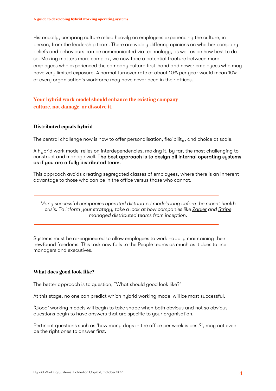Historically, company culture relied heavily on employees experiencing the culture, in person, from the leadership team. There are widely differing opinions on whether company beliefs and behaviours can be communicated via technology, as well as on how best to do so. Making matters more complex, we now face a potential fracture between more employees who experienced the company culture first-hand and newer employees who may have very limited exposure. A normal turnover rate of about 10% per year would mean 10% of every organisation's workforce may have never been in their offices.

#### **Your hybrid work model should enhance the existing company culture, not damage, or dissolve it.**

#### **Distributed equals hybrid**

The central challenge now is how to offer personalisation, flexibility, and choice at scale.

A hybrid work model relies on interdependencies, making it, by far, the most challenging to construct and manage well. The best approach is to design all internal operating systems as if you are a fully distributed team.

This approach avoids creating segregated classes of employees, where there is an inherent advantage to those who can be in the office versus those who cannot.

*Many successful companies operated distributed models long before the recent health crisis. To inform your strategy, take a look at how companies like Zapier and Stripe managed distributed teams from inception.* 

Systems must be re-engineered to allow employees to work happily maintaining their newfound freedoms. This task now falls to the People teams as much as it does to line managers and executives.

#### **What does good look like?**

The better approach is to question, "What should good look like?"

At this stage, no one can predict which hybrid working model will be most successful.

'Good' working models will begin to take shape when both obvious and not so obvious questions begin to have answers that are specific to your organisation.

Pertinent questions such as 'how many days in the office per week is best?', may not even be the right ones to answer first.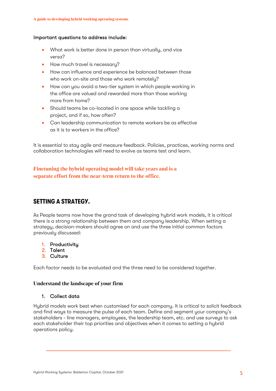#### Important questions to address include:

- What work is better done in person than virtually, and vice versa?
- How much travel is necessary?
- How can influence and experience be balanced between those who work on-site and those who work remotely?
- How can you avoid a two-tier system in which people working in the office are valued and rewarded more than those working more from home?
- Should teams be co-located in one space while tackling a project, and if so, how often?
- Can leadership communication to remote workers be as effective as it is to workers in the office?

It is essential to stay agile and measure feedback. Policies, practices, working norms and collaboration technologies will need to evolve as teams test and learn.

**Finetuning the hybrid operating model will take years and is a separate effort from the near-term return to the office.**

#### **SETTING A STRATEGY.**

As People teams now have the grand task of developing hybrid work models, it is critical there is a strong relationship between them and company leadership. When setting a strategy, decision-makers should agree on and use the three initial common factors previously discussed:

- 1. Productivity
- 2. Talent
- 3. Culture

Each factor needs to be evaluated and the three need to be considered together.

#### **Understand the landscape of your firm**

#### 1. Collect data

Hybrid models work best when customised for each company. It is critical to solicit feedback and find ways to measure the pulse of each team. Define and segment your company's stakeholders - line managers, employees, the leadership team, etc. and use surveys to ask each stakeholder their top priorities and objectives when it comes to setting a hybrid operations policy.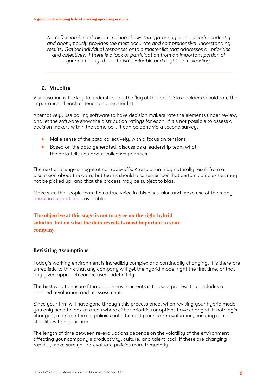*Note: Research on decision-making shows that gathering opinions independently and anonymously provides the most accurate and comprehensive understanding results. Gather individual responses onto a master list that addresses all priorities and objectives. If there is a lack of participation from an important portion of your company, the data isn't valuable and might be misleading.*

#### 2. Visualise

Visualisation is the key to understanding the 'lay of the land'. Stakeholders should rate the importance of each criterion on a master list.

Alternatively, use polling software to have decision makers rate the elements under review, and let the software show the distribution ratings for each. If it's not possible to assess all decision makers within the same poll, it can be done via a second survey.

- Make sense of the data collectively, with a focus on tensions
- Based on the data generated, discuss as a leadership team what the data tells you about collective priorities

The next challenge is negotiating trade-offs. A resolution may naturally result from a discussion about the data, but teams should also remember that certain complexities may not be picked up, and that the process may be subject to bias.

Make sure the People team has a true voice in this discussion and make use of the many decision support tools available.

#### **The objective at this stage is not to agree on the right hybrid solution, but on what the data reveals is most important to your company.**

#### **Revisiting Assumptions**

Today's working environment is incredibly complex and continually changing. It is therefore unrealistic to think that any company will get the hybrid model right the first time, or that any given approach can be used indefinitely.

The best way to ensure fit in volatile environments is to use a process that includes a planned revaluation and reassessment.

Since your firm will have gone through this process once, when revising your hybrid model you only need to look at areas where either priorities or options have changed. If nothing's changed, maintain the set policies until the next planned re-evaluation, ensuring some stability within your firm.

The length of time between re-evaluations depends on the volatility of the environment affecting your company's productivity, culture, and talent pool. If these are changing rapidly, make sure you re-evaluate policies more frequently.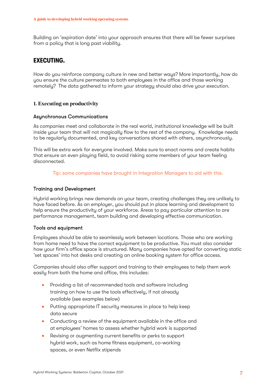Building an 'expiration date' into your approach ensures that there will be fewer surprises from a policy that is long past viability.

#### **EXECUTING.**

How do you reinforce company culture in new and better ways? More importantly, how do you ensure the culture permeates to both employees in the office and those working remotely? The data gathered to inform your strategy should also drive your execution.

#### **1. Executing on productivity**

#### Asynchronous Communications

As companies meet and collaborate in the real world, institutional knowledge will be built inside your team that will not magically flow to the rest of the company. Knowledge needs to be regularly documented, and key conversations shared with others, asynchronously.

This will be extra work for everyone involved. Make sure to enact norms and create habits that ensure an even playing field, to avoid risking some members of your team feeling disconnected.

Tip: some companies have brought in Integration Managers to aid with this.

#### Training and Development

Hybrid working brings new demands on your team, creating challenges they are unlikely to have faced before. As an employer, you should put in place learning and development to help ensure the productivity of your workforce. Areas to pay particular attention to are performance management, team building and developing effective communication.

#### Tools and equipment

Employees should be able to seamlessly work between locations. Those who are working from home need to have the correct equipment to be productive. You must also consider how your firm's office space is structured. Many companies have opted for converting static 'set spaces' into hot desks and creating an online booking system for office access.

Companies should also offer support and training to their employees to help them work easily from both the home and office, this includes:

- Providing a list of recommended tools and software including training on how to use the tools effectively, if not already available (see examples below)
- Putting appropriate IT security measures in place to help keep data secure
- Conducting a review of the equipment available in the office and at employees' homes to assess whether hybrid work is supported
- Revising or augmenting current benefits or perks to support hybrid work, such as home fitness equipment, co-working spaces, or even Netflix stipends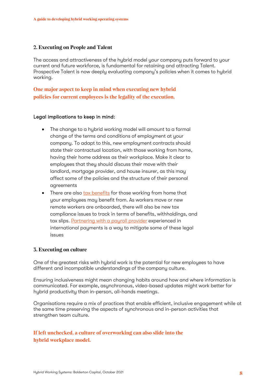#### **2. Executing on People and Talent**

The access and attractiveness of the hybrid model your company puts forward to your current and future workforce, is fundamental for retaining and attracting Talent. Prospective Talent is now deeply evaluating company's policies when it comes to hybrid working.

**One major aspect to keep in mind when executing new hybrid policies for current employees is the legality of the execution.**

#### Legal implications to keep in mind:

- The change to a hybrid working model will amount to a formal change of the terms and conditions of employment at your company. To adapt to this, new employment contracts should state their contractual location, with those working from home, having their home address as their workplace. Make it clear to employees that they should discuss their move with their landlord, mortgage provider, and house insurer, as this may affect some of the policies and the structure of their personal agreements
- There are also tax benefits for those working from home that your employees may benefit from. As workers move or new remote workers are onboarded, there will also be new tax compliance issues to track in terms of benefits, withholdings, and tax slips. Partnering with a payroll provider experienced in international payments is a way to mitigate some of these legal issues

#### **3. Executing on culture**

One of the greatest risks with hybrid work is the potential for new employees to have different and incompatible understandings of the company culture.

Ensuring inclusiveness might mean changing habits around how and where information is communicated. For example, asynchronous, video-based updates might work better for hybrid productivity than in-person, all-hands meetings.

Organisations require a mix of practices that enable efficient, inclusive engagement while at the same time preserving the aspects of synchronous and in-person activities that strengthen team culture.

**If left unchecked, a culture of overworking can also slide into the hybrid workplace model.**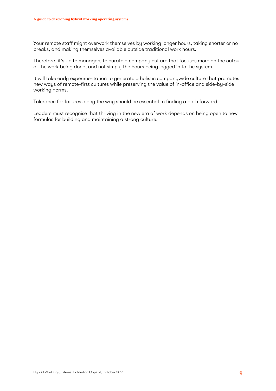Your remote staff might overwork themselves by working longer hours, taking shorter or no breaks, and making themselves available outside traditional work hours.

Therefore, it's up to managers to curate a company culture that focuses more on the output of the work being done, and not simply the hours being logged in to the system.

It will take early experimentation to generate a holistic companywide culture that promotes new ways of remote-first cultures while preserving the value of in-office and side-by-side working norms.

Tolerance for failures along the way should be essential to finding a path forward.

Leaders must recognise that thriving in the new era of work depends on being open to new formulas for building and maintaining a strong culture.